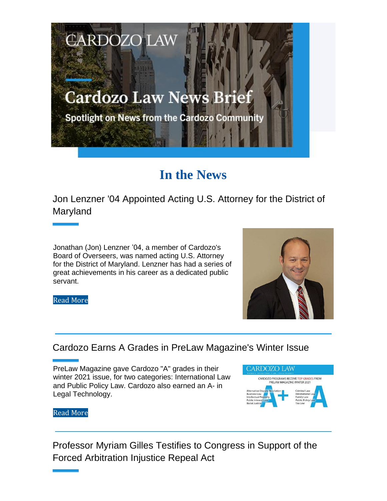# **Cardozo Law News Brief**

**CARDOZO LAW** 

Spotlight on News from the Cardozo Community

## **In the News**

Jon Lenzner '04 Appointed Acting U.S. Attorney for the District of Maryland

Jonathan (Jon) Lenzner '04, a member of Cardozo's Board of Overseers, was named acting U.S. Attorney for the District of Maryland. Lenzner has had a series of great achievements in his career as a dedicated public servant.

Read More



### Cardozo Earns A Grades in PreLaw Magazine's Winter Issue

PreLaw Magazine gave Cardozo "A" grades in their winter 2021 issue, for two categories: International Law and Public Policy Law. Cardozo also earned an A- in Legal Technology.



Read More

Professor Myriam Gilles Testifies to Congress in Support of the Forced Arbitration Injustice Repeal Act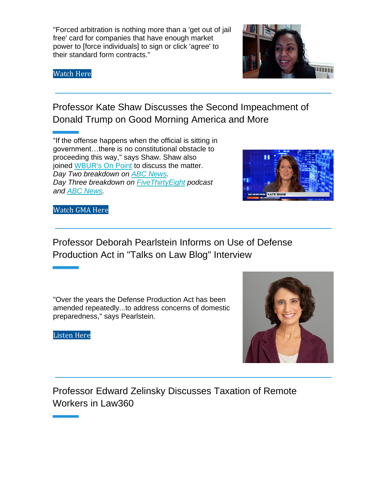"Forced arbitration is nothing more than a 'get out of jail free' card for companies that have enough market power to [force individuals] to sign or click 'agree' to their standard form contracts."

Watch Here



Professor Kate Shaw Discusses the Second Impeachment of Donald Trump on Good Morning America and More

"If the offense happens when the official is sitting in government…there is no constitutional obstacle to proceeding this way," says Shaw. Shaw also joined WBUR's On Point to discuss the matter. *Day Two breakdown on ABC News. Day Three breakdown on FiveThirtyEight podcast and ABC News.*



Watch GMA Here

Professor Deborah Pearlstein Informs on Use of Defense Production Act in "Talks on Law Blog" Interview

"Over the years the Defense Production Act has been amended repeatedly...to address concerns of domestic preparedness," says Pearlstein.

Listen Here



Professor Edward Zelinsky Discusses Taxation of Remote Workers in Law360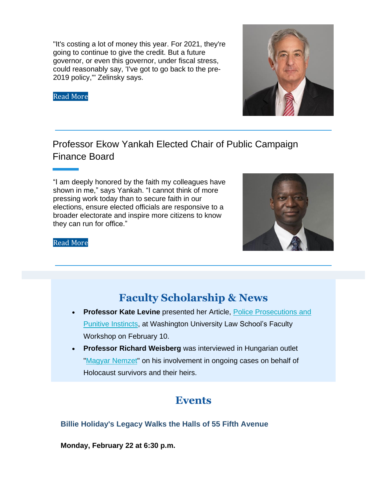"It's costing a lot of money this year. For 2021, they're going to continue to give the credit. But a future governor, or even this governor, under fiscal stress, could reasonably say, 'I've got to go back to the pre-2019 policy,'" Zelinsky says.

Read More



## Professor Ekow Yankah Elected Chair of Public Campaign Finance Board

"I am deeply honored by the faith my colleagues have shown in me," says Yankah. "I cannot think of more pressing work today than to secure faith in our elections, ensure elected officials are responsive to a broader electorate and inspire more citizens to know they can run for office."



#### Read More

## **Faculty Scholarship & News**

- **Professor Kate Levine** presented her Article, Police Prosecutions and Punitive Instincts, at Washington University Law School's Faculty Workshop on February 10.
- **Professor Richard Weisberg** was interviewed in Hungarian outlet "Magyar Nemzet" on his involvement in ongoing cases on behalf of Holocaust survivors and their heirs.

## **Events**

#### **Billie Holiday's Legacy Walks the Halls of 55 Fifth Avenue**

**Monday, February 22 at 6:30 p.m.**